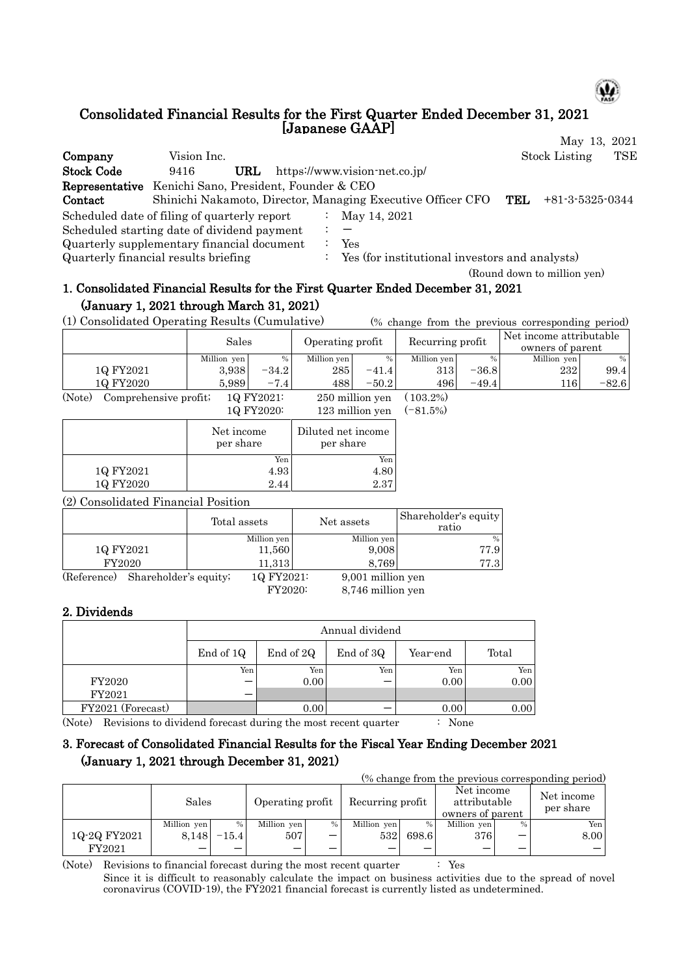

# Consolidated Financial Results for the First Quarter Ended December 31, 2021 [Japanese GAAP]

May 13, 2021 Company Vision Inc. Stock Listing TSE

| <b>Stock Code</b>                                            | 9416 | URL |                  | https://www.vision-net.co.jp/                               |     |                             |
|--------------------------------------------------------------|------|-----|------------------|-------------------------------------------------------------|-----|-----------------------------|
| <b>Representative</b> Kenichi Sano, President, Founder & CEO |      |     |                  |                                                             |     |                             |
| Contact                                                      |      |     |                  | Shinichi Nakamoto, Director, Managing Executive Officer CFO | TEL | +81-3-5325-0344             |
| Scheduled date of filing of quarterly report                 |      |     |                  | : May 14, 2021                                              |     |                             |
| Scheduled starting date of dividend payment                  |      |     | $\therefore$ $-$ |                                                             |     |                             |
| Quarterly supplementary financial document                   |      |     |                  | Yes                                                         |     |                             |
| Quarterly financial results briefing                         |      |     |                  | $\therefore$ Yes (for institutional investors and analysts) |     |                             |
|                                                              |      |     |                  |                                                             |     | (Round down to million yen) |

# 1. Consolidated Financial Results for the First Quarter Ended December 31, 2021 (January 1, 2021 through March 31, 2021)

(1) Consolidated Operating Results (Cumulative) (% change from the previous corresponding period)

|           | Sales          |           | Operating profit                           |               | Recurring profit |               | Net income attributable<br>owners of parent |         |  |
|-----------|----------------|-----------|--------------------------------------------|---------------|------------------|---------------|---------------------------------------------|---------|--|
|           | Million yen    | $\%$      | Million yen                                | $\frac{0}{0}$ | Million yen      | $\frac{0}{0}$ | Million yen                                 | %       |  |
| 1Q FY2021 | 3.938          | $-34.2$   | 285                                        | $-41.4$       | 313              | $-36.8$       | 232                                         | 99.4    |  |
| 1Q FY2020 | 5.989          | $-7.4$    | 488                                        | $-50.2$       | 496              | $-49.4$       | 1161                                        | $-82.6$ |  |
| (27)      | $\mathbf{r}$ . | 10 T10001 | $\cdot$ 11 $\cdot$<br>$\sim$ $\sim$ $\sim$ |               | 10000            |               |                                             |         |  |

(Note) Comprehensive profit; 1Q FY2021: 250 million yen ( 103.2%) 1Q FY2020: 123 million yen (-81.5%)

|           | Net income<br>per share | Diluted net income<br>per share |
|-----------|-------------------------|---------------------------------|
|           | Yen                     | Yen                             |
| 1Q FY2021 | 4.93                    | 4.80                            |
| 1Q FY2020 | 2.44                    | 2.37                            |

(2) Consolidated Financial Position

|             |                       | Total assets | Net assets        | Shareholder's equity<br>ratio |
|-------------|-----------------------|--------------|-------------------|-------------------------------|
|             |                       | Million yen  | Million yen       | %                             |
| 1Q FY2021   |                       | 11,560       | 9,008             | 77.9                          |
| FY2020      |                       | 11,313       | 8.769             | 77.3                          |
| (Reference) | Shareholder's equity; | 1Q FY2021:   | 9,001 million yen |                               |

FY2020: 8,746 million yen

### 2. Dividends

|                   | Annual dividend |           |           |          |       |  |  |  |  |  |  |
|-------------------|-----------------|-----------|-----------|----------|-------|--|--|--|--|--|--|
|                   | End of 1Q       | End of 2Q | End of 3Q | Year-end | Total |  |  |  |  |  |  |
|                   | Yen             | Yen       | Yen       | Yen      | Yen   |  |  |  |  |  |  |
| FY2020            |                 | 0.00      |           | 0.00     | 0.00  |  |  |  |  |  |  |
| FY2021            |                 |           |           |          |       |  |  |  |  |  |  |
| FY2021 (Forecast) |                 | 0.00      |           | 0.00     | 0.00  |  |  |  |  |  |  |

(Note) Revisions to dividend forecast during the most recent quarter : None

## 3. Forecast of Consolidated Financial Results for the Fiscal Year Ending December 2021 (January 1, 2021 through December 31, 2021)

| (% change from the previous corresponding period) |             |         |                  |      |                  |       |                                                |      |                         |  |  |
|---------------------------------------------------|-------------|---------|------------------|------|------------------|-------|------------------------------------------------|------|-------------------------|--|--|
|                                                   | Sales       |         | Operating profit |      | Recurring profit |       | Net income<br>attributable<br>owners of parent |      | Net income<br>per share |  |  |
|                                                   | Million yen | %       | Million yen      | $\%$ | Million yen      | %     | Million ven                                    | $\%$ | Yen                     |  |  |
| 1Q-2Q FY2021                                      | 8.148       | $-15.4$ | 507              |      | 532              | 698.6 | 376                                            |      | 8.00                    |  |  |
| FY2021                                            |             |         |                  |      |                  |       |                                                |      |                         |  |  |

(Note) Revisions to financial forecast during the most recent quarter : Yes Since it is difficult to reasonably calculate the impact on business activities due to the spread of novel coronavirus (COVID-19), the FY2021 financial forecast is currently listed as undetermined.